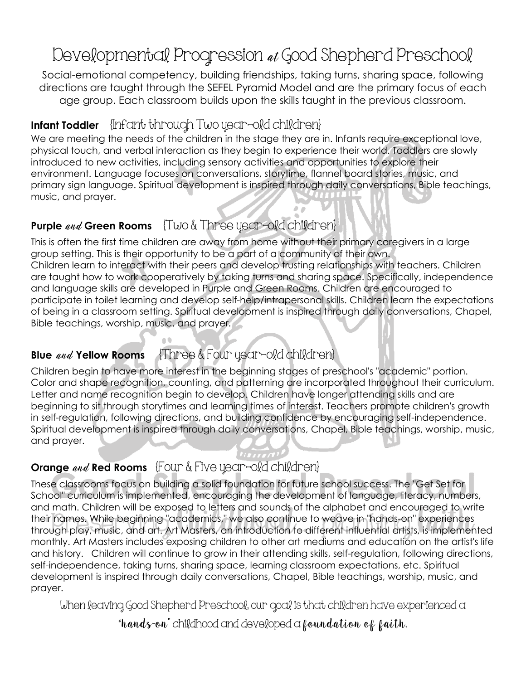# Developmental Progression at Good Shepherd Preschool

Social-emotional competency, building friendships, taking turns, sharing space, following directions are taught through the SEFEL Pyramid Model and are the primary focus of each age group. Each classroom builds upon the skills taught in the previous classroom.

# **Infant Toddler** {Infant through Two year-old children}

We are meeting the needs of the children in the stage they are in. Infants require exceptional love, physical touch, and verbal interaction as they begin to experience their world. Toddlers are slowly introduced to new activities, including sensory activities and opportunities to explore their environment. Language focuses on conversations, storytime, flannel board stories, music, and primary sign language. Spiritual development is inspired through daily conversations, Bible teachings, music, and prayer.

## **Purple** and **Green Rooms** {Two & Three year-old children}

This is often the first time children are away from home without their primary caregivers in a large group setting. This is their opportunity to be a part of a community of their own. Children learn to interact with their peers and develop trusting relationships with teachers. Children are taught how to work cooperatively by taking turns and sharing space. Specifically, independence and language skills are developed in Purple and Green Rooms. Children are encouraged to participate in toilet learning and develop self-help/intrapersonal skills. Children learn the expectations of being in a classroom setting. Spiritual development is inspired through daily conversations, Chapel, Bible teachings, worship, music, and prayer.

# **Blue** and **Yellow Rooms** {Three & Four year-old children}

Children begin to have more interest in the beginning stages of preschool's "academic" portion. Color and shape recognition, counting, and patterning are incorporated throughout their curriculum. Letter and name recognition begin to develop. Children have longer attending skills and are beginning to sit through storytimes and learning times of interest. Teachers promote children's growth in self-regulation, following directions, and building confidence by encouraging self-independence. Spiritual development is inspired through daily conversations, Chapel, Bible teachings, worship, music, and prayer.

# **Orange** and **Red Rooms** {Four & Five year-old children}

These classrooms focus on building a solid foundation for future school success. The "Get Set for School" curriculum is implemented, encouraging the development of language, literacy, numbers, and math. Children will be exposed to letters and sounds of the alphabet and encouraged to write their names. While beginning "academics," we also continue to weave in "hands-on" experiences through play, music, and art. Art Masters, an introduction to different influential artists, is implemented monthly. Art Masters includes exposing children to other art mediums and education on the artist's life and history. Children will continue to grow in their attending skills, self-regulation, following directions, self-independence, taking turns, sharing space, learning classroom expectations, etc. Spiritual development is inspired through daily conversations, Chapel, Bible teachings, worship, music, and prayer.

When leaving Good Shepherd Preschool, our goal is that children have experienced a

"hands-on" childhood and developed a foundation of faith.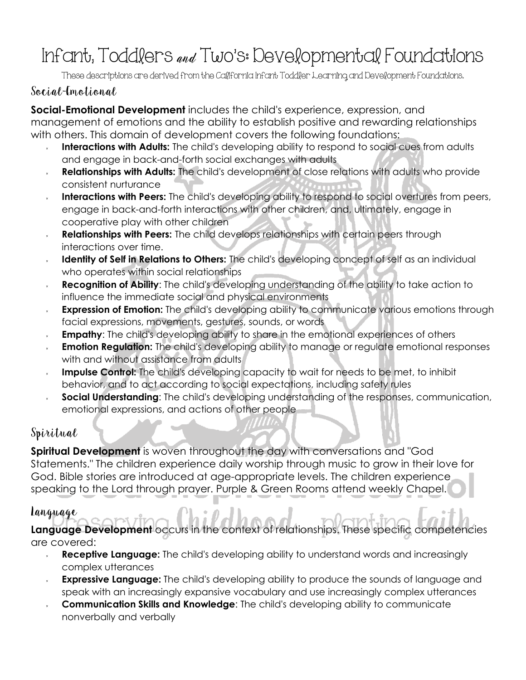# Infant, Toddlers and Two's: Developmental Foundations

These descriptions are derived from the California Infant Toddler Learning and Development Foundations.

#### Social-Emotional

**Social-Emotional Development** includes the child's experience, expression, and management of emotions and the ability to establish positive and rewarding relationships with others. This domain of development covers the following foundations:

- Interactions with Adults: The child's developing ability to respond to social cues from adults and engage in back-and-forth social exchanges with adults
- **Relationships with Adults:** The child's development of close relations with adults who provide consistent nurturance
- **Interactions with Peers:** The child's developing ability to respond to social overtures from peers, engage in back-and-forth interactions with other children, and, ultimately, engage in cooperative play with other children
- **Relationships with Peers:** The child develops relationships with certain peers through interactions over time.
- **Identity of Self in Relations to Others:** The child's developing concept of self as an individual who operates within social relationships
- **Recognition of Ability**: The child's developing understanding of the ability to take action to influence the immediate social and physical environments
- **Expression of Emotion:** The child's developing ability to communicate various emotions through facial expressions, movements, gestures, sounds, or words
- **Empathy:** The child's developing ability to share in the emotional experiences of others
- **Emotion Regulation:** The child's developing ability to manage or regulate emotional responses with and without assistance from adults
- **Impulse Control:** The child's developing capacity to wait for needs to be met, to inhibit behavior, and to act according to social expectations, including safety rules
- **Social Understanding**: The child's developing understanding of the responses, communication, emotional expressions, and actions of other people

## Spiritual

**Spiritual Development** is woven throughout the day with conversations and "God Statements." The children experience daily worship through music to grow in their love for God. Bible stories are introduced at age-appropriate levels. The children experience speaking to the Lord through prayer. Purple & Green Rooms attend weekly Chapel.

#### Language

**Language Development** occurs in the context of relationships. These specific competencies are covered:

- **Receptive Language:** The child's developing ability to understand words and increasingly  $\mathbf{x}$ complex utterances
- **Expressive Language:** The child's developing ability to produce the sounds of language and speak with an increasingly expansive vocabulary and use increasingly complex utterances
- **Communication Skills and Knowledge**: The child's developing ability to communicate nonverbally and verbally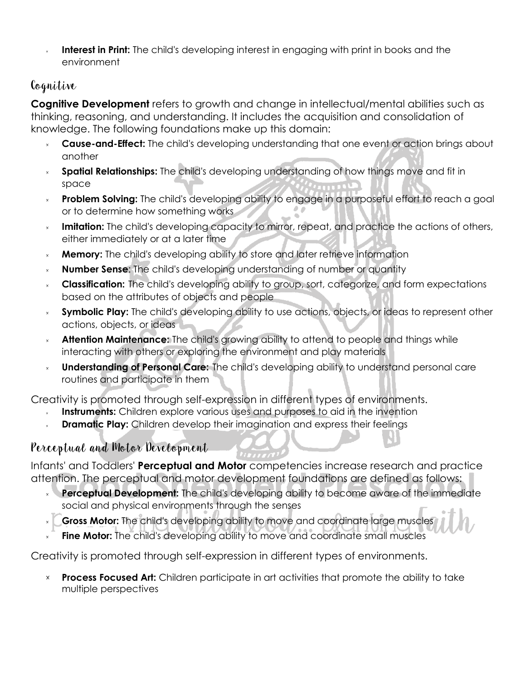**Interest in Print:** The child's developing interest in engaging with print in books and the environment

## Cognitive

**Cognitive Development** refers to growth and change in intellectual/mental abilities such as thinking, reasoning, and understanding. It includes the acquisition and consolidation of knowledge. The following foundations make up this domain:

- **Cause-and-Effect:** The child's developing understanding that one event or action brings about another
- **Spatial Relationships:** The child's developing understanding of how things move and fit in space
- **Problem Solving:** The child's developing ability to engage in a purposeful effort to reach a goal  $\bar{\mathbf{x}}$ or to determine how something works
- **Imitation:** The child's developing capacity to mirror, repeat, and practice the actions of others, either immediately or at a later time
- **Memory:** The child's developing ability to store and later retrieve information
- **Number Sense**: The child's developing understanding of number or quantity
- **Classification:** The child's developing ability to group, sort, categorize, and form expectations based on the attributes of objects and people
- **Symbolic Play:** The child's developing ability to use actions, objects, or ideas to represent other actions, objects, or ideas
- **Attention Maintenance:** The child's growing ability to attend to people and things while interacting with others or exploring the environment and play materials
- **Understanding of Personal Care:** The child's developing ability to understand personal care  $\mathbf{x}$ routines and participate in them

Creativity is promoted through self-expression in different types of environments.

- **Instruments:** Children explore various uses and purposes to aid in the invention
- **Dramatic Play:** Children develop their imagination and express their feelings

# Perceptual and Motor Development

Infants' and Toddlers' **Perceptual and Motor** competencies increase research and practice attention. The perceptual and motor development foundations are defined as follows:

- **Perceptual Development:** The child's developing ability to become aware of the immediate  $\mathbf{x}$ social and physical environments through the senses
- **Gross Motor:** The child's developing ability to move and coordinate large muscles  $\bar{\mathbf{x}}$
- **Fine Motor:** The child's developing ability to move and coordinate small muscles

Creativity is promoted through self-expression in different types of environments.

**Process Focused Art:** Children participate in art activities that promote the ability to take  $\times$ multiple perspectives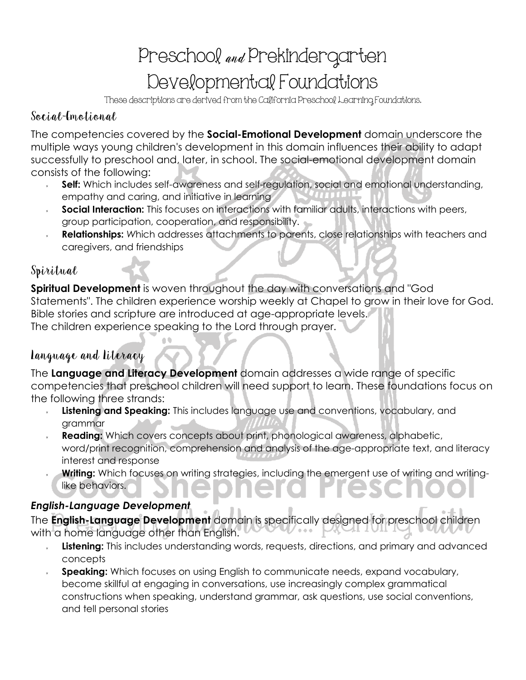# Preschool and Prekindergarten Developmental Foundations

These descriptions are derived from the California Preschool Learning Foundations.

#### Social-Emotional

The competencies covered by the **Social-Emotional Development** domain underscore the multiple ways young children's development in this domain influences their ability to adapt successfully to preschool and, later, in school. The social-emotional development domain consists of the following:

- **Self:** Which includes self-awareness and self-regulation, social and emotional understanding, empathy and caring, and initiative in learning
- **Social Interaction:** This focuses on interactions with familiar adults, interactions with peers, group participation, cooperation, and responsibility.
- **Relationships:** *W*hich addresses attachments to parents, close relationships with teachers and caregivers, and friendships

#### Spiritual

**Spiritual Development** is woven throughout the day with conversations and "God Statements". The children experience worship weekly at Chapel to grow in their love for God. Bible stories and scripture are introduced at age-appropriate levels. The children experience speaking to the Lord through prayer.

#### Language and Literacy

The **Language and Literacy Development** domain addresses a wide range of specific competencies that preschool children will need support to learn. These foundations focus on the following three strands:

- **Listening and Speaking:** This includes language use and conventions, vocabulary, and grammar
- **Reading:** Which covers concepts about print, phonological awareness, alphabetic, word/print recognition, comprehension and analysis of the age-appropriate text, and literacy interest and response
- Writing: Which focuses on writing strategies, including the emergent use of writing and writinglike behaviors.

#### *English-Language Development*

The **English-Language Development** domain is specifically designed for preschool children with a home language other than English.

- **Listening:** This includes understanding words, requests, directions, and primary and advanced concepts
- **Speaking:** Which focuses on using English to communicate needs, expand vocabulary, become skillful at engaging in conversations, use increasingly complex grammatical constructions when speaking, understand grammar, ask questions, use social conventions, and tell personal stories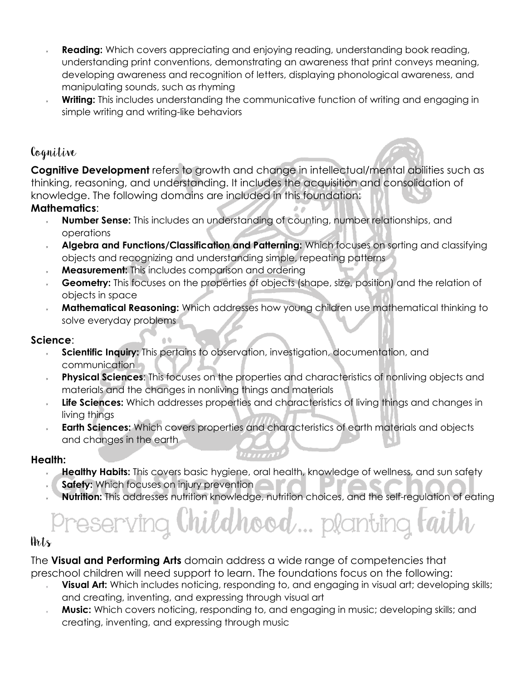- **Reading:** Which covers appreciating and enjoying reading, understanding book reading, understanding print conventions, demonstrating an awareness that print conveys meaning, developing awareness and recognition of letters, displaying phonological awareness, and manipulating sounds, such as rhyming
- **Writing:** This includes understanding the communicative function of writing and engaging in simple writing and writing-like behaviors

#### Cognitive

**Cognitive Development** refers to growth and change in intellectual/mental abilities such as thinking, reasoning, and understanding. It includes the acquisition and consolidation of knowledge. The following domains are included in this foundation:

#### **Mathematics**:

- **Number Sense:** This includes an understanding of counting, number relationships, and operations
- **Algebra and Functions/Classification and Patterning:** Which focuses on sorting and classifying objects and recognizing and understanding simple, repeating patterns
- **Measurement:** This includes comparison and ordering

 $\triangleq$ 

- **Geometry:** This focuses on the properties of objects (shape, size, position) and the relation of objects in space
- **Mathematical Reasoning:** Which addresses how young children use mathematical thinking to solve everyday problems

#### **Science**:

- **Scientific Inquiry:** This pertains to observation, investigation, documentation, and  $\mathbf{x}$ communication
- **Physical Sciences**: This focuses on the properties and characteristics of nonliving objects and materials and the changes in nonliving things and materials
- **Life Sciences:** Which addresses properties and characteristics of living things and changes in living things
- **Earth Sciences:** Which covers properties and characteristics of earth materials and objects and changes in the earth

#### **Health:**

- **Healthy Habits:** This covers basic hygiene, oral health, knowledge of wellness, and sun safety
- **Safety:** Which focuses on injury prevention
- **Nutrition:** This addresses nutrition knowledge, nutrition choices, and the self-regulation of eating

# **plantino**

#### Arts

The **Visual and Performing Arts** domain address a wide range of competencies that preschool children will need support to learn. The foundations focus on the following:

- **Visual Art:** Which includes noticing, responding to, and engaging in visual art; developing skills; and creating, inventing, and expressing through visual art
- **Music:** Which covers noticing, responding to, and engaging in music; developing skills; and creating, inventing, and expressing through music